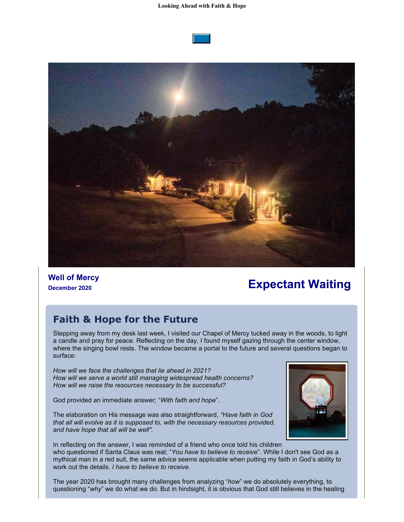



**Well of Mercy**

# **December 2020 Expectant Waiting**

## **Faith & Hope for the Future**

Stepping away from my desk last week, I visited our Chapel of Mercy tucked away in the woods, to light a candle and pray for peace. Reflecting on the day, I found myself gazing through the center window, where the singing bowl rests. The window became a portal to the future and several questions began to surface:

*How will we face the challenges that lie ahead in 2021? How will we serve a world still managing widespread health concerns? How will we raise the resources necessary to be successful?*

God provided an immediate answer; "*With faith and hope*".





In reflecting on the answer, I was reminded of a friend who once told his children who questioned if Santa Claus was real; "*You have to believe to receive*". While I don't see God as a mythical man in a red suit, the same advice seems applicable when putting my faith in God's ability to work out the details. *I have to believe to receive*.

The year 2020 has brought many challenges from analyzing "*how*" we do absolutely everything, to questioning "why" we do what we do. But in hindsight, it is obvious that God still believes in the healing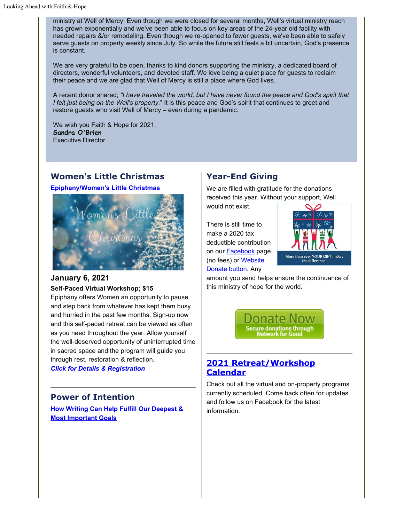ministry at Well of Mercy. Even though we were closed for several months, Well's virtual ministry reach has grown exponentially and we've been able to focus on key areas of the 24-year old facility with needed repairs &/or remodeling. Even though we re-opened to fewer guests, we've been able to safely serve guests on property weekly since July. So while the future still feels a bit uncertain, God's presence is constant.

We are very grateful to be open, thanks to kind donors supporting the ministry, a dedicated board of directors, wonderful volunteers, and devoted staff. We love being a quiet place for guests to reclaim their peace and we are glad that Well of Mercy is still a place where God lives.

A recent donor shared; *"I have traveled the world, but I have never found the peace and God's spirit that I felt just being on the Well's property.*" It is this peace and God's spirit that continues to greet and restore guests who visit Well of Mercy – even during a pandemic.

We wish you Faith & Hope for 2021, **Sandra O'Brien** Executive Director

#### **Women's Little Christmas**

**[Epiphany/Women's Little Christmas](https://cts.vresp.com/c/?WellofMercy/484da9848c/1100c4dba2/554bb867ef)**



#### **January 6, 2021 Self-Paced Virtual Workshop; \$15**

Epiphany offers Women an opportunity to pause and step back from whatever has kept them busy and hurried in the past few months. Sign-up now and this self-paced retreat can be viewed as often as you need throughout the year. Allow yourself the well-deserved opportunity of uninterrupted time in sacred space and the program will guide you through rest, restoration & reflection.

*[Click for Details & Registration](https://cts.vresp.com/c/?WellofMercy/484da9848c/1100c4dba2/c269951227)*

#### **Power of Intention**

**[How Writing Can Help Fulfill Our Deepest &](https://cts.vresp.com/c/?WellofMercy/484da9848c/1100c4dba2/a02999872b) [Most Important Goals](https://cts.vresp.com/c/?WellofMercy/484da9848c/1100c4dba2/a02999872b)**

#### **Year-End Giving**

We are filled with gratitude for the donations received this year. Without your support, Well

There is still time to make a 2020 tax deductible contribution on our [Facebook](https://cts.vresp.com/c/?WellofMercy/484da9848c/1100c4dba2/c967edc8f4) page (no fees) or [Website](https://cts.vresp.com/c/?WellofMercy/484da9848c/1100c4dba2/a9a4531d95) [Donate button](https://cts.vresp.com/c/?WellofMercy/484da9848c/1100c4dba2/a9a4531d95). Any

would not exist.



amount you send helps ensure the continuance of this ministry of hope for the world.



#### **[2021 Retreat/Workshop](https://cts.vresp.com/c/?WellofMercy/484da9848c/1100c4dba2/d0834a8d19) [Calendar](https://cts.vresp.com/c/?WellofMercy/484da9848c/1100c4dba2/d0834a8d19)**

Check out all the virtual and on-property programs currently scheduled. Come back often for updates and follow us on Facebook for the latest information.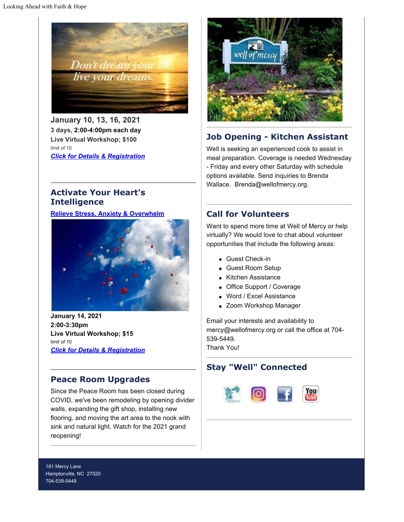

**January 10, 13, 16, 2021 3 days, 2:00-4:00pm each day Live Virtual Workshop; \$100** limit of 10 *[Click for Details & Registration](https://cts.vresp.com/c/?WellofMercy/484da9848c/1100c4dba2/d722eed268)*



# **Job Opening - Kitchen Assistant**

Well is seeking an experienced cook to assist in meal preparation. Coverage is needed Wednesday - Friday and every other Saturday with schedule options available. Send inquiries to Brenda Wallace. Brenda@wellofmercy.org.

#### **Activate Your Heart's Intelligence**

#### **[Relieve Stress, Anxiety & Overwhelm](https://cts.vresp.com/c/?WellofMercy/484da9848c/1100c4dba2/8a57ff4dd8)**



**January 14, 2021 2:00-3:30pm Live Virtual Workshop; \$15** limit of 10 *[Click for Details & Registration](https://cts.vresp.com/c/?WellofMercy/484da9848c/1100c4dba2/f8574188b9)*

## **Peace Room Upgrades**

Since the Peace Room has been closed during COVID, we've been remodeling by opening divider walls, expanding the gift shop, installing new flooring, and moving the art area to the nook with sink and natural light. Watch for the 2021 grand reopening!

## **Call for Volunteers**

Want to spend more time at Well of Mercy or help virtually? We would love to chat about volunteer opportunities that include the following areas:

- Guest Check-in
- Guest Room Setup
- Kitchen Assistance
- Office Support / Coverage
- Word / Excel Assistance
- Zoom Workshop Manager

Email your interests and availability to mercy@wellofmercy.org or call the office at 704- 539-5449. Thank You!

## **Stay "Well" Connected**



181 Mercy Lane Hamptonville, NC 27020 704-539-5449